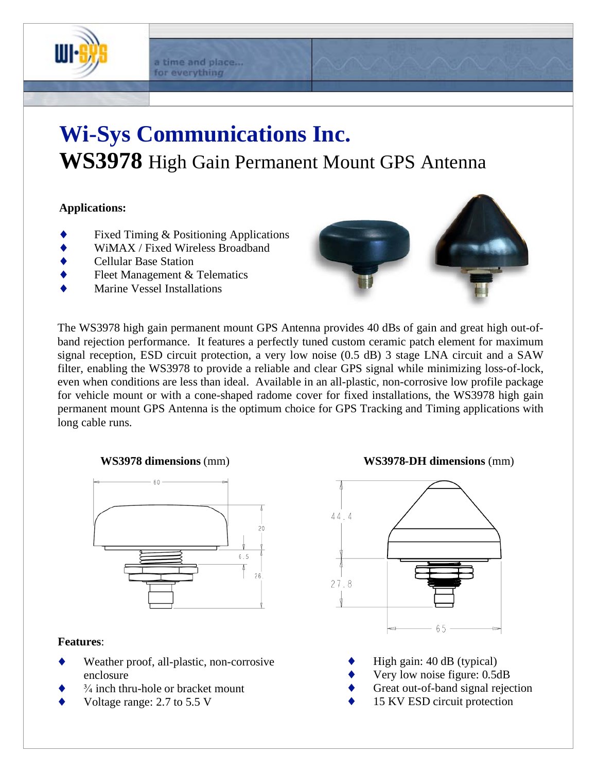

#### a time and place... for everything

# **Wi-Sys Communications Inc. WS3978** High Gain Permanent Mount GPS Antenna

### **Applications:**

- Fixed Timing & Positioning Applications
- WiMAX / Fixed Wireless Broadband
- Cellular Base Station
- Fleet Management & Telematics
- Marine Vessel Installations



The WS3978 high gain permanent mount GPS Antenna provides 40 dBs of gain and great high out-ofband rejection performance. It features a perfectly tuned custom ceramic patch element for maximum signal reception, ESD circuit protection, a very low noise (0.5 dB) 3 stage LNA circuit and a SAW filter, enabling the WS3978 to provide a reliable and clear GPS signal while minimizing loss-of-lock, even when conditions are less than ideal. Available in an all-plastic, non-corrosive low profile package for vehicle mount or with a cone-shaped radome cover for fixed installations, the WS3978 high gain permanent mount GPS Antenna is the optimum choice for GPS Tracking and Timing applications with long cable runs.



#### **Features**:

- Weather proof, all-plastic, non-corrosive enclosure
- $\frac{3}{4}$  inch thru-hole or bracket mount
- Voltage range: 2.7 to 5.5 V

 **WS3978 dimensions** (mm) **WS3978-DH dimensions** (mm)



- High gain: 40 dB (typical)
- Very low noise figure: 0.5dB
- Great out-of-band signal rejection
- 15 KV ESD circuit protection